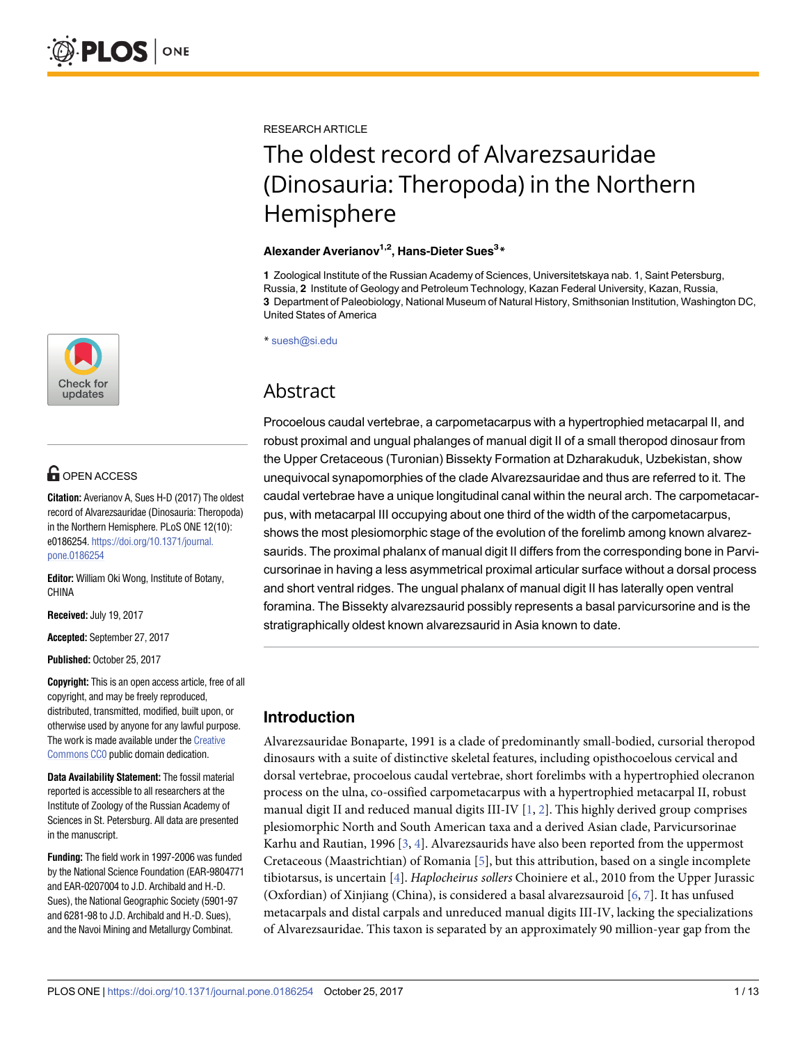

## **OPEN ACCESS**

**Citation:** Averianov A, Sues H-D (2017) The oldest record of Alvarezsauridae (Dinosauria: Theropoda) in the Northern Hemisphere. PLoS ONE 12(10): e0186254. [https://doi.org/10.1371/journal.](https://doi.org/10.1371/journal.pone.0186254) [pone.0186254](https://doi.org/10.1371/journal.pone.0186254)

**Editor:** William Oki Wong, Institute of Botany, CHINA

**Received:** July 19, 2017

**Accepted:** September 27, 2017

**Published:** October 25, 2017

**Copyright:** This is an open access article, free of all copyright, and may be freely reproduced, distributed, transmitted, modified, built upon, or otherwise used by anyone for any lawful purpose. The work is made available under the [Creative](https://creativecommons.org/publicdomain/zero/1.0/) [Commons CC0](https://creativecommons.org/publicdomain/zero/1.0/) public domain dedication.

**Data Availability Statement:** The fossil material reported is accessible to all researchers at the Institute of Zoology of the Russian Academy of Sciences in St. Petersburg. All data are presented in the manuscript.

**Funding:** The field work in 1997-2006 was funded by the National Science Foundation (EAR-9804771 and EAR-0207004 to J.D. Archibald and H.-D. Sues), the National Geographic Society (5901-97 and 6281-98 to J.D. Archibald and H.-D. Sues), and the Navoi Mining and Metallurgy Combinat.

<span id="page-0-0"></span>RESEARCH ARTICLE

# The oldest record of Alvarezsauridae (Dinosauria: Theropoda) in the Northern Hemisphere

#### **Alexander Averianov1,2, Hans-Dieter Sues3 \***

**1** Zoological Institute of the Russian Academy of Sciences, Universitetskaya nab. 1, Saint Petersburg, Russia, **2** Institute of Geology and Petroleum Technology, Kazan Federal University, Kazan, Russia, **3** Department of Paleobiology, National Museum of Natural History, Smithsonian Institution, Washington DC, United States of America

\* suesh@si.edu

## Abstract

Procoelous caudal vertebrae, a carpometacarpus with a hypertrophied metacarpal II, and robust proximal and ungual phalanges of manual digit II of a small theropod dinosaur from the Upper Cretaceous (Turonian) Bissekty Formation at Dzharakuduk, Uzbekistan, show unequivocal synapomorphies of the clade Alvarezsauridae and thus are referred to it. The caudal vertebrae have a unique longitudinal canal within the neural arch. The carpometacarpus, with metacarpal III occupying about one third of the width of the carpometacarpus, shows the most plesiomorphic stage of the evolution of the forelimb among known alvarezsaurids. The proximal phalanx of manual digit II differs from the corresponding bone in Parvicursorinae in having a less asymmetrical proximal articular surface without a dorsal process and short ventral ridges. The ungual phalanx of manual digit II has laterally open ventral foramina. The Bissekty alvarezsaurid possibly represents a basal parvicursorine and is the stratigraphically oldest known alvarezsaurid in Asia known to date.

### **Introduction**

Alvarezsauridae Bonaparte, 1991 is a clade of predominantly small-bodied, cursorial theropod dinosaurs with a suite of distinctive skeletal features, including opisthocoelous cervical and dorsal vertebrae, procoelous caudal vertebrae, short forelimbs with a hypertrophied olecranon process on the ulna, co-ossified carpometacarpus with a hypertrophied metacarpal II, robust manual digit II and reduced manual digits III-IV  $[1, 2]$  $[1, 2]$  $[1, 2]$  $[1, 2]$ . This highly derived group comprises plesiomorphic North and South American taxa and a derived Asian clade, Parvicursorinae Karhu and Rautian, 1996 [\[3,](#page-11-0) [4](#page-11-0)]. Alvarezsaurids have also been reported from the uppermost Cretaceous (Maastrichtian) of Romania [\[5\]](#page-11-0), but this attribution, based on a single incomplete tibiotarsus, is uncertain [[4\]](#page-11-0). *Haplocheirus sollers* Choiniere et al., 2010 from the Upper Jurassic (Oxfordian) of Xinjiang (China), is considered a basal alvarezsauroid [\[6](#page-11-0), [7](#page-11-0)]. It has unfused metacarpals and distal carpals and unreduced manual digits III-IV, lacking the specializations of Alvarezsauridae. This taxon is separated by an approximately 90 million-year gap from the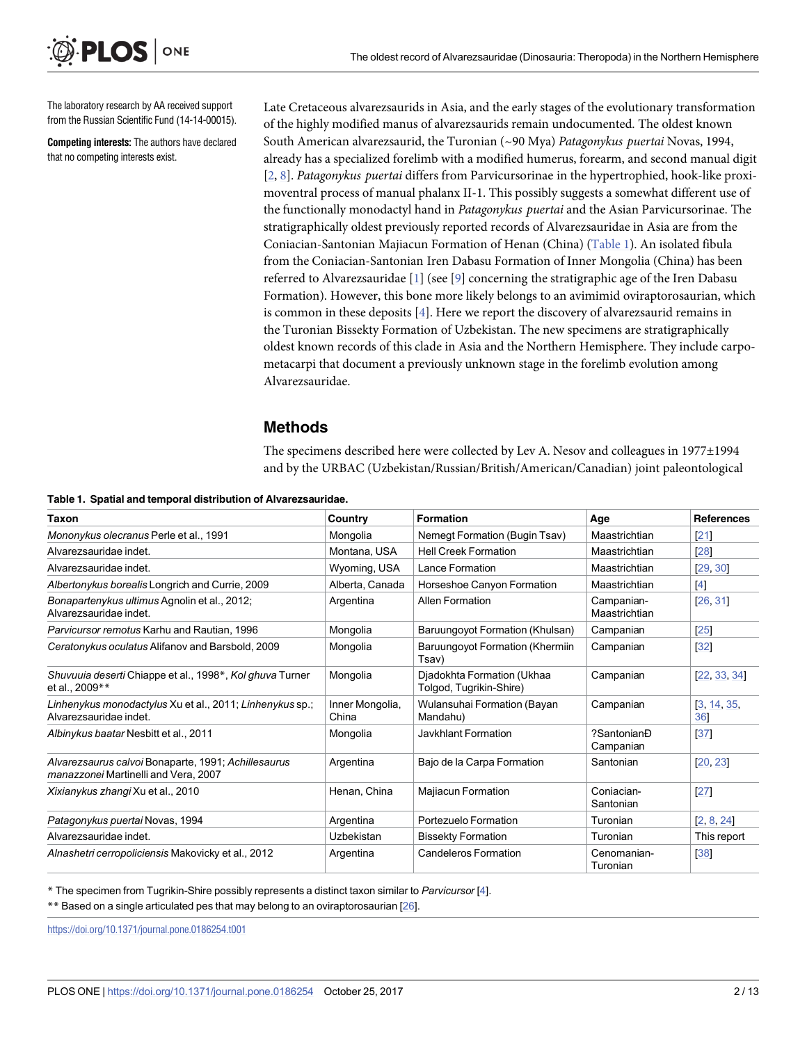The laboratory research by AA received support from the Russian Scientific Fund (14-14-00015).

ONE

<span id="page-1-0"></span>PLOS I

**Competing interests:** The authors have declared that no competing interests exist.

Late Cretaceous alvarezsaurids in Asia, and the early stages of the evolutionary transformation of the highly modified manus of alvarezsaurids remain undocumented. The oldest known South American alvarezsaurid, the Turonian (~90 Mya) *Patagonykus puertai* Novas, 1994, already has a specialized forelimb with a modified humerus, forearm, and second manual digit [\[2](#page-11-0), [8](#page-11-0)]. *Patagonykus puertai* differs from Parvicursorinae in the hypertrophied, hook-like proximoventral process of manual phalanx II-1. This possibly suggests a somewhat different use of the functionally monodactyl hand in *Patagonykus puertai* and the Asian Parvicursorinae. The stratigraphically oldest previously reported records of Alvarezsauridae in Asia are from the Coniacian-Santonian Majiacun Formation of Henan (China) (Table 1). An isolated fibula from the Coniacian-Santonian Iren Dabasu Formation of Inner Mongolia (China) has been referred to Alvarezsauridae [[1\]](#page-11-0) (see [\[9\]](#page-11-0) concerning the stratigraphic age of the Iren Dabasu Formation). However, this bone more likely belongs to an avimimid oviraptorosaurian, which is common in these deposits [\[4\]](#page-11-0). Here we report the discovery of alvarezsaurid remains in the Turonian Bissekty Formation of Uzbekistan. The new specimens are stratigraphically oldest known records of this clade in Asia and the Northern Hemisphere. They include carpometacarpi that document a previously unknown stage in the forelimb evolution among Alvarezsauridae.

#### **Methods**

The specimens described here were collected by Lev A. Nesov and colleagues in 1977±1994 and by the URBAC (Uzbekistan/Russian/British/American/Canadian) joint paleontological

| <b>Taxon</b>                                                                                | Country                  | <b>Formation</b>                                      | Age                         | <b>References</b>  |
|---------------------------------------------------------------------------------------------|--------------------------|-------------------------------------------------------|-----------------------------|--------------------|
| Mononykus olecranus Perle et al., 1991                                                      | Mongolia                 | Nemegt Formation (Bugin Tsav)                         | Maastrichtian               | $[21]$             |
| Alvarezsauridae indet.                                                                      | Montana, USA             | <b>Hell Creek Formation</b>                           | Maastrichtian               | [28]               |
| Alvarezsauridae indet.                                                                      | Wyoming, USA             | Lance Formation                                       | Maastrichtian               | [29, 30]           |
| Albertonykus borealis Longrich and Currie, 2009                                             | Alberta, Canada          | Horseshoe Canyon Formation                            | Maastrichtian               | [4]                |
| Bonapartenykus ultimus Agnolin et al., 2012;<br>Alvarezsauridae indet.                      | Argentina                | <b>Allen Formation</b>                                | Campanian-<br>Maastrichtian | [26, 31]           |
| Parvicursor remotus Karhu and Rautian, 1996                                                 | Mongolia                 | Baruungoyot Formation (Khulsan)                       | Campanian                   | $[25]$             |
| Ceratonykus oculatus Alifanov and Barsbold, 2009                                            | Mongolia                 | Baruungoyot Formation (Khermiin<br>Tsav)              | Campanian                   | [32]               |
| Shuvuuia deserti Chiappe et al., 1998*, Kol ghuva Turner<br>et al., 2009**                  | Mongolia                 | Djadokhta Formation (Ukhaa<br>Tolgod, Tugrikin-Shire) | Campanian                   | 22, 33, 34         |
| Linhenykus monodactylus Xu et al., 2011; Linhenykus sp.;<br>Alvarezsauridae indet.          | Inner Mongolia,<br>China | Wulansuhai Formation (Bayan<br>Mandahu)               | Campanian                   | [3, 14, 35,<br>36] |
| Albinykus baatar Nesbitt et al., 2011                                                       | Mongolia                 | Javkhlant Formation                                   | ?SantonianĐ<br>Campanian    | 37                 |
| Alvarezsaurus calvoi Bonaparte, 1991; Achillesaurus<br>manazzonei Martinelli and Vera, 2007 | Argentina                | Bajo de la Carpa Formation                            | Santonian                   | [20, 23]           |
| <i>Xixianykus zhangi</i> Xu et al., 2010                                                    | Henan, China             | <b>Majiacun Formation</b>                             | Conjacian-<br>Santonian     | 27                 |
| Patagonykus puertai Novas, 1994                                                             | Argentina                | Portezuelo Formation                                  | Turonian                    | [2, 8, 24]         |
| Alvarezsauridae indet.                                                                      | Uzbekistan               | <b>Bissekty Formation</b>                             | Turonian                    | This report        |
| Alnashetri cerropoliciensis Makovicky et al., 2012                                          | Argentina                | <b>Candeleros Formation</b>                           | Cenomanian-<br>Turonian     | [38]               |

**Table 1. Spatial and temporal distribution of Alvarezsauridae.**

\* The specimen from Tugrikin-Shire possibly represents a distinct taxon similar to *Parvicursor* [\[4\]](#page-11-0).

\*\* Based on a single articulated pes that may belong to an oviraptorosaurian [[26](#page-12-0)].

<https://doi.org/10.1371/journal.pone.0186254.t001>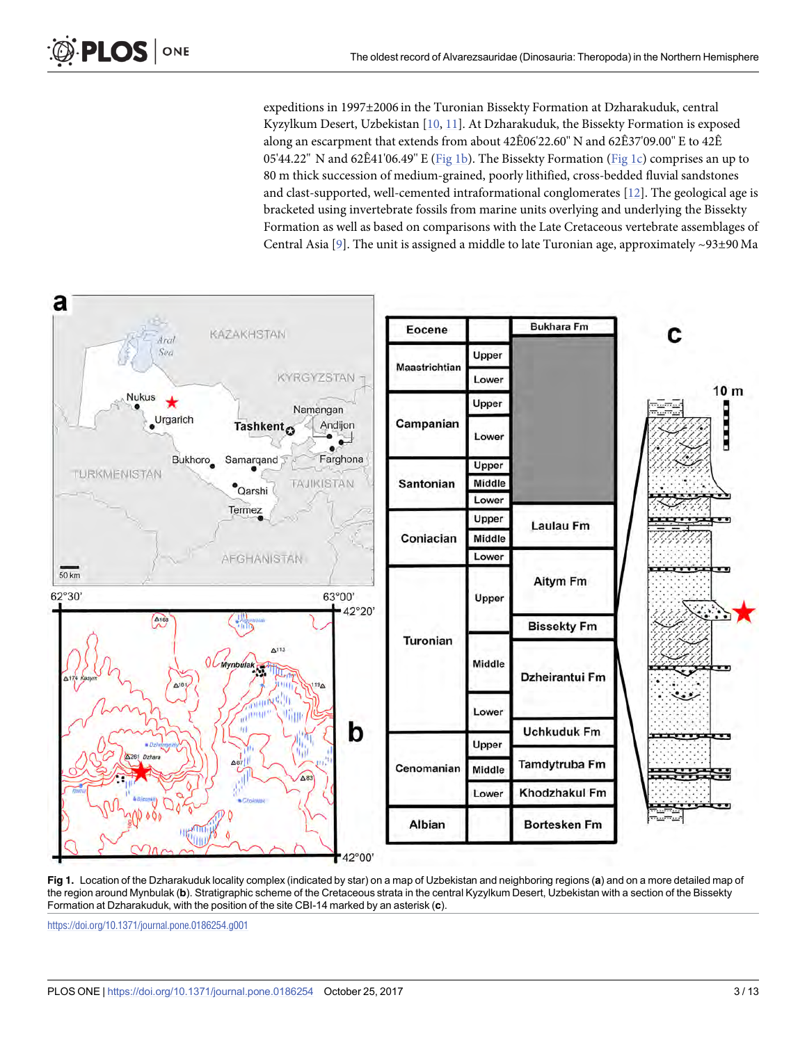expeditions in 1997±2006 in the Turonian Bissekty Formation at Dzharakuduk, central Kyzylkum Desert, Uzbekistan [\[10,](#page-11-0) [11\]](#page-11-0). At Dzharakuduk, the Bissekty Formation is exposed along an escarpment that extends from about 42Ê06'22.60'' N and 62Ê37'09.00'' E to 42Ê 05'44.22" N and 62 $\hat{E}41'06.49''$  E (Fig 1b). The Bissekty Formation (Fig 1c) comprises an up to 80 m thick succession of medium-grained, poorly lithified, cross-bedded fluvial sandstones and clast-supported, well-cemented intraformational conglomerates [[12\]](#page-11-0). The geological age is bracketed using invertebrate fossils from marine units overlying and underlying the Bissekty Formation as well as based on comparisons with the Late Cretaceous vertebrate assemblages of Central Asia [\[9\]](#page-11-0). The unit is assigned a middle to late Turonian age, approximately  $\sim$ 93±90 Ma

<span id="page-2-0"></span>

**Fig 1.** Location of the Dzharakuduk locality complex (indicated by star) on a map of Uzbekistan and neighboring regions (**a**) and on a more detailed map of the region around Mynbulak (**b**). Stratigraphic scheme of the Cretaceous strata in the central Kyzylkum Desert, Uzbekistan with a section of the Bissekty Formation at Dzharakuduk, with the position of the site CBI-14 marked by an asterisk (**c**).

<https://doi.org/10.1371/journal.pone.0186254.g001>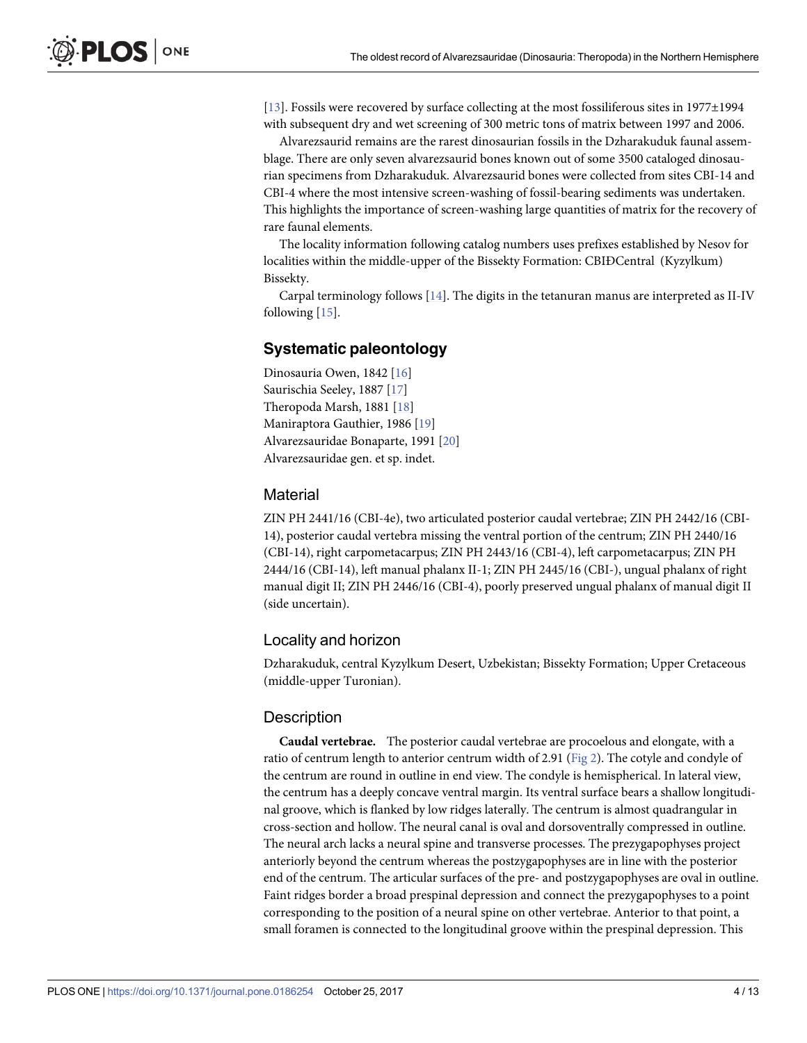<span id="page-3-0"></span>[\[13\]](#page-11-0). Fossils were recovered by surface collecting at the most fossiliferous sites in 1977±1994 with subsequent dry and wet screening of 300 metric tons of matrix between 1997 and 2006.

Alvarezsaurid remains are the rarest dinosaurian fossils in the Dzharakuduk faunal assemblage. There are only seven alvarezsaurid bones known out of some 3500 cataloged dinosaurian specimens from Dzharakuduk. Alvarezsaurid bones were collected from sites CBI-14 and CBI-4 where the most intensive screen-washing of fossil-bearing sediments was undertaken. This highlights the importance of screen-washing large quantities of matrix for the recovery of rare faunal elements.

The locality information following catalog numbers uses prefixes established by Nesov for localities within the middle-upper of the Bissekty Formation: CBIÐCentral (Kyzylkum) Bissekty.

Carpal terminology follows  $[14]$ . The digits in the tetanuran manus are interpreted as II-IV following [\[15\]](#page-12-0).

#### **Systematic paleontology**

Dinosauria Owen, 1842 [[16](#page-12-0)] Saurischia Seeley, 1887 [[17](#page-12-0)] Theropoda Marsh, 1881 [\[18\]](#page-12-0) Maniraptora Gauthier, 1986 [[19](#page-12-0)] Alvarezsauridae Bonaparte, 1991 [\[20\]](#page-12-0) Alvarezsauridae gen. et sp. indet.

#### **Material**

ZIN PH 2441/16 (CBI-4e), two articulated posterior caudal vertebrae; ZIN PH 2442/16 (CBI-14), posterior caudal vertebra missing the ventral portion of the centrum; ZIN PH 2440/16 (CBI-14), right carpometacarpus; ZIN PH 2443/16 (CBI-4), left carpometacarpus; ZIN PH 2444/16 (CBI-14), left manual phalanx II-1; ZIN PH 2445/16 (CBI-), ungual phalanx of right manual digit II; ZIN PH 2446/16 (CBI-4), poorly preserved ungual phalanx of manual digit II (side uncertain).

#### Locality and horizon

Dzharakuduk, central Kyzylkum Desert, Uzbekistan; Bissekty Formation; Upper Cretaceous (middle-upper Turonian).

#### **Description**

**Caudal vertebrae.** The posterior caudal vertebrae are procoelous and elongate, with a ratio of centrum length to anterior centrum width of 2.91 [\(Fig 2\)](#page-4-0). The cotyle and condyle of the centrum are round in outline in end view. The condyle is hemispherical. In lateral view, the centrum has a deeply concave ventral margin. Its ventral surface bears a shallow longitudinal groove, which is flanked by low ridges laterally. The centrum is almost quadrangular in cross-section and hollow. The neural canal is oval and dorsoventrally compressed in outline. The neural arch lacks a neural spine and transverse processes. The prezygapophyses project anteriorly beyond the centrum whereas the postzygapophyses are in line with the posterior end of the centrum. The articular surfaces of the pre- and postzygapophyses are oval in outline. Faint ridges border a broad prespinal depression and connect the prezygapophyses to a point corresponding to the position of a neural spine on other vertebrae. Anterior to that point, a small foramen is connected to the longitudinal groove within the prespinal depression. This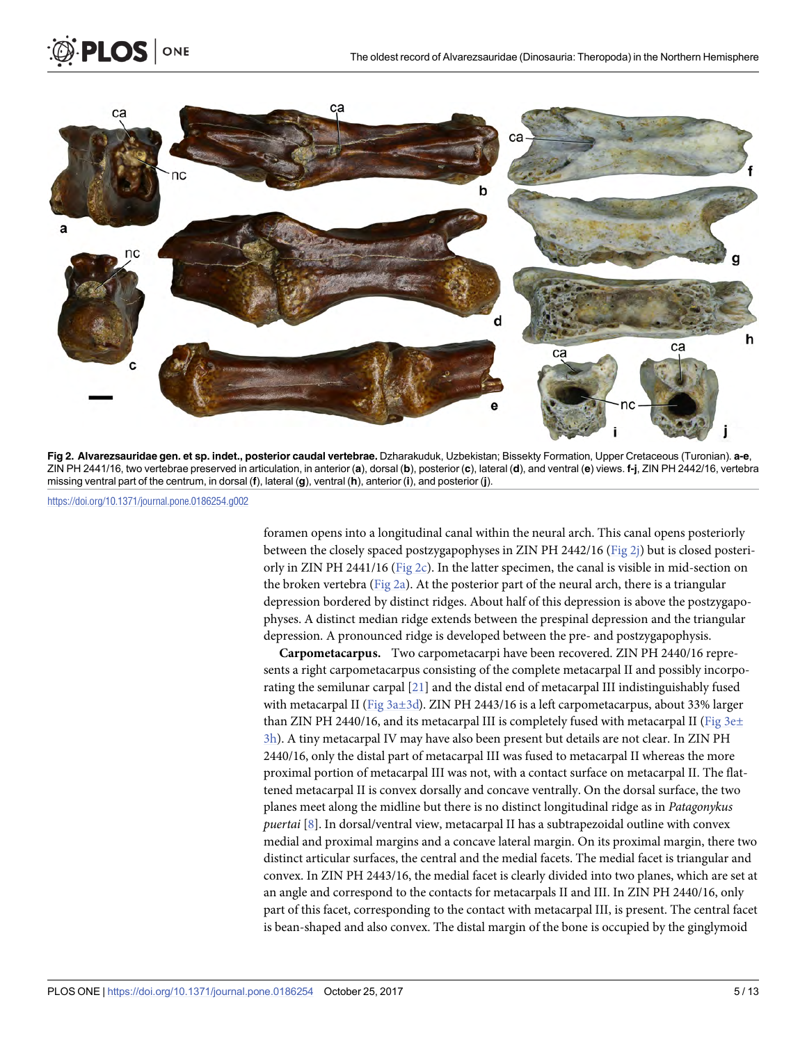

**[Fig 2. A](#page-3-0)lvarezsauridae gen. et sp. indet., posterior caudal vertebrae.** Dzharakuduk, Uzbekistan; Bissekty Formation, Upper Cretaceous (Turonian). **a-e**, ZIN PH 2441/16, two vertebrae preserved in articulation, in anterior (**a**), dorsal (**b**), posterior (**c**), lateral (**d**), and ventral (**e**) views. **f-j**, ZIN PH 2442/16, vertebra missing ventral part of the centrum, in dorsal (**f**), lateral (**g**), ventral (**h**), anterior (**i**), and posterior (**j**).

ONE

<span id="page-4-0"></span>PLOS I

foramen opens into a longitudinal canal within the neural arch. This canal opens posteriorly between the closely spaced postzygapophyses in ZIN PH 2442/16 (Fig 2j) but is closed posteriorly in ZIN PH 2441/16 (Fig 2c). In the latter specimen, the canal is visible in mid-section on the broken vertebra (Fig 2a). At the posterior part of the neural arch, there is a triangular depression bordered by distinct ridges. About half of this depression is above the postzygapophyses. A distinct median ridge extends between the prespinal depression and the triangular depression. A pronounced ridge is developed between the pre- and postzygapophysis.

**Carpometacarpus.** Two carpometacarpi have been recovered. ZIN PH 2440/16 represents a right carpometacarpus consisting of the complete metacarpal II and possibly incorporating the semilunar carpal [[21](#page-12-0)] and the distal end of metacarpal III indistinguishably fused with metacarpal II ([Fig 3a±3d\)](#page-5-0). ZIN PH 2443/16 is a left carpometacarpus, about 33% larger than ZIN PH 2440/16, and its metacarpal III is completely fused with metacarpal II (Fig  $3e\pm$ [3h](#page-5-0)). A tiny metacarpal IV may have also been present but details are not clear. In ZIN PH 2440/16, only the distal part of metacarpal III was fused to metacarpal II whereas the more proximal portion of metacarpal III was not, with a contact surface on metacarpal II. The flattened metacarpal II is convex dorsally and concave ventrally. On the dorsal surface, the two planes meet along the midline but there is no distinct longitudinal ridge as in *Patagonykus puertai* [[8](#page-11-0)]. In dorsal/ventral view, metacarpal II has a subtrapezoidal outline with convex medial and proximal margins and a concave lateral margin. On its proximal margin, there two distinct articular surfaces, the central and the medial facets. The medial facet is triangular and convex. In ZIN PH 2443/16, the medial facet is clearly divided into two planes, which are set at an angle and correspond to the contacts for metacarpals II and III. In ZIN PH 2440/16, only part of this facet, corresponding to the contact with metacarpal III, is present. The central facet is bean-shaped and also convex. The distal margin of the bone is occupied by the ginglymoid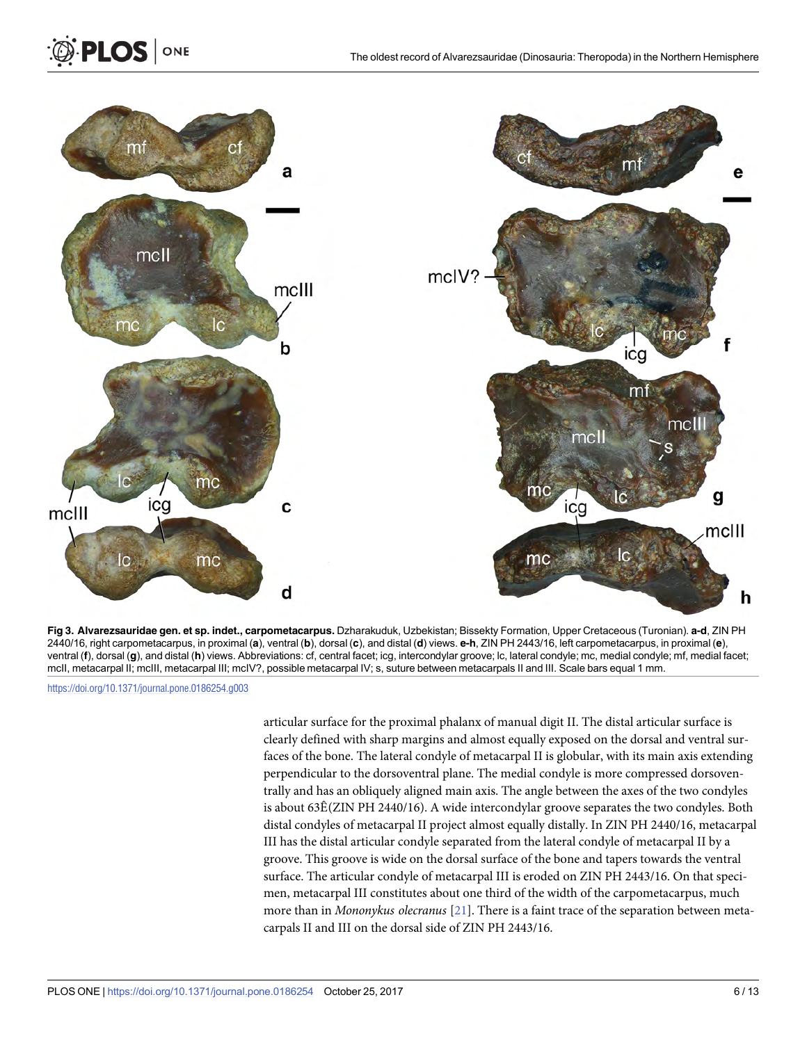<span id="page-5-0"></span>![](_page_5_Figure_2.jpeg)

**[Fig 3. A](#page-4-0)lvarezsauridae gen. et sp. indet., carpometacarpus.** Dzharakuduk, Uzbekistan; Bissekty Formation, Upper Cretaceous (Turonian). **a-d**, ZIN PH 2440/16, right carpometacarpus, in proximal (**a**), ventral (**b**), dorsal (**c**), and distal (**d**) views. **e-h**, ZIN PH 2443/16, left carpometacarpus, in proximal (**e**), ventral (**f**), dorsal (**g**), and distal (**h**) views. Abbreviations: cf, central facet; icg, intercondylar groove; lc, lateral condyle; mc, medial condyle; mf, medial facet; mcII, metacarpal II; mcIII, metacarpal III; mcIV?, possible metacarpal IV; s, suture between metacarpals II and III. Scale bars equal 1 mm.

articular surface for the proximal phalanx of manual digit II. The distal articular surface is clearly defined with sharp margins and almost equally exposed on the dorsal and ventral surfaces of the bone. The lateral condyle of metacarpal II is globular, with its main axis extending perpendicular to the dorsoventral plane. The medial condyle is more compressed dorsoventrally and has an obliquely aligned main axis. The angle between the axes of the two condyles is about 63Ê(ZIN PH 2440/16). A wide intercondylar groove separates the two condyles. Both distal condyles of metacarpal II project almost equally distally. In ZIN PH 2440/16, metacarpal III has the distal articular condyle separated from the lateral condyle of metacarpal II by a groove. This groove is wide on the dorsal surface of the bone and tapers towards the ventral surface. The articular condyle of metacarpal III is eroded on ZIN PH 2443/16. On that specimen, metacarpal III constitutes about one third of the width of the carpometacarpus, much more than in *Mononykus olecranus* [\[21\]](#page-12-0). There is a faint trace of the separation between metacarpals II and III on the dorsal side of ZIN PH 2443/16.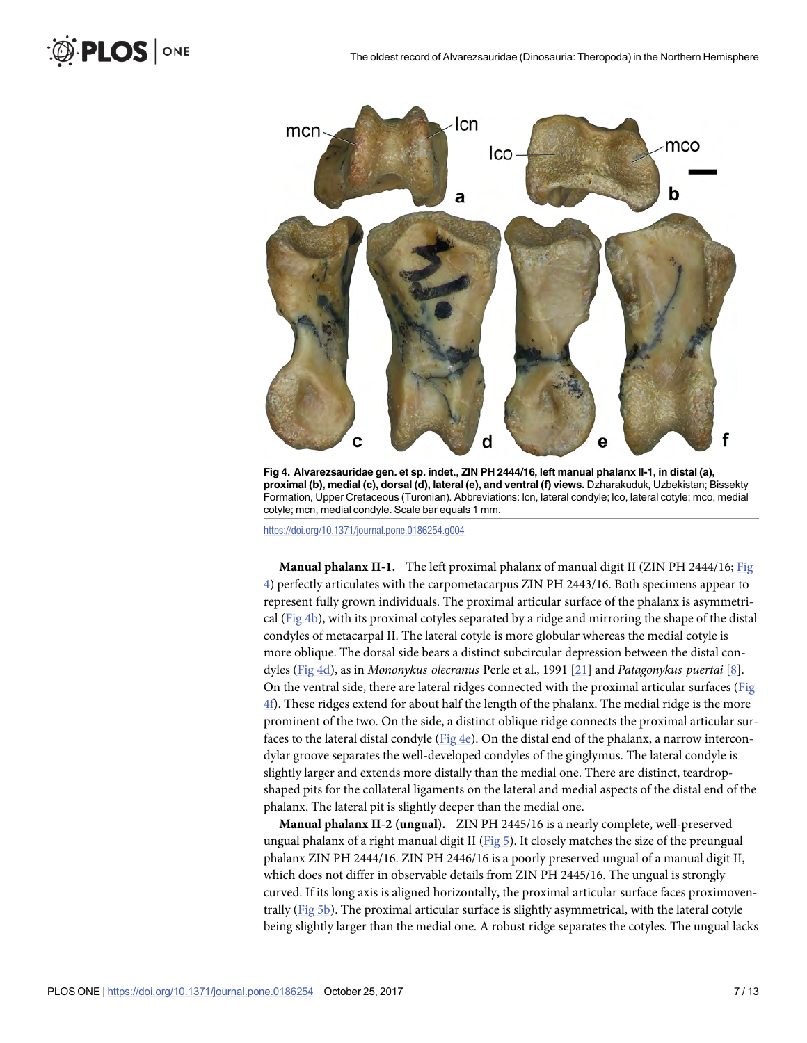<span id="page-6-0"></span>![](_page_6_Figure_2.jpeg)

**Fig 4. Alvarezsauridae gen. et sp. indet., ZIN PH 2444/16, left manual phalanx II-1, in distal (a), proximal (b), medial (c), dorsal (d), lateral (e), and ventral (f) views.** Dzharakuduk, Uzbekistan; Bissekty Formation, Upper Cretaceous (Turonian). Abbreviations: lcn, lateral condyle; lco, lateral cotyle; mco, medial cotyle; mcn, medial condyle. Scale bar equals 1 mm.

**Manual phalanx II-1.** The left proximal phalanx of manual digit II (ZIN PH 2444/16; Fig 4) perfectly articulates with the carpometacarpus ZIN PH 2443/16. Both specimens appear to represent fully grown individuals. The proximal articular surface of the phalanx is asymmetrical (Fig 4b), with its proximal cotyles separated by a ridge and mirroring the shape of the distal condyles of metacarpal II. The lateral cotyle is more globular whereas the medial cotyle is more oblique. The dorsal side bears a distinct subcircular depression between the distal condyles (Fig 4d), as in *Mononykus olecranus* Perle et al., 1991 [\[21\]](#page-12-0) and *Patagonykus puertai* [[8](#page-11-0)]. On the ventral side, there are lateral ridges connected with the proximal articular surfaces (Fig 4f). These ridges extend for about half the length of the phalanx. The medial ridge is the more prominent of the two. On the side, a distinct oblique ridge connects the proximal articular surfaces to the lateral distal condyle (Fig  $4e$ ). On the distal end of the phalanx, a narrow intercondylar groove separates the well-developed condyles of the ginglymus. The lateral condyle is slightly larger and extends more distally than the medial one. There are distinct, teardropshaped pits for the collateral ligaments on the lateral and medial aspects of the distal end of the phalanx. The lateral pit is slightly deeper than the medial one.

**Manual phalanx II-2 (ungual).** ZIN PH 2445/16 is a nearly complete, well-preserved ungual phalanx of a right manual digit II [\(Fig 5\)](#page-7-0). It closely matches the size of the preungual phalanx ZIN PH 2444/16. ZIN PH 2446/16 is a poorly preserved ungual of a manual digit II, which does not differ in observable details from ZIN PH 2445/16. The ungual is strongly curved. If its long axis is aligned horizontally, the proximal articular surface faces proximoventrally [\(Fig 5b\)](#page-7-0). The proximal articular surface is slightly asymmetrical, with the lateral cotyle being slightly larger than the medial one. A robust ridge separates the cotyles. The ungual lacks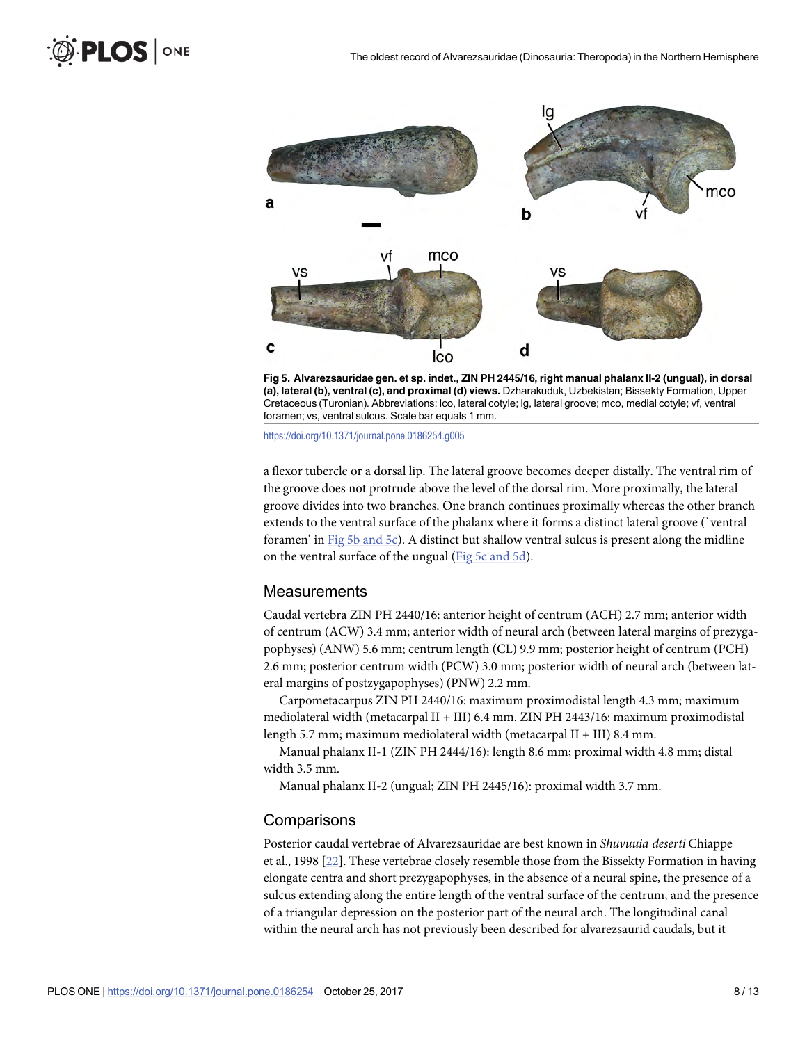<span id="page-7-0"></span>![](_page_7_Figure_2.jpeg)

**[Fig 5. A](#page-6-0)lvarezsauridae gen. et sp. indet., ZIN PH 2445/16, right manual phalanx II-2 (ungual), in dorsal (a), lateral (b), ventral (c), and proximal (d) views.** Dzharakuduk, Uzbekistan; Bissekty Formation, Upper Cretaceous (Turonian). Abbreviations: lco, lateral cotyle; lg, lateral groove; mco, medial cotyle; vf, ventral foramen; vs, ventral sulcus. Scale bar equals 1 mm.

a flexor tubercle or a dorsal lip. The lateral groove becomes deeper distally. The ventral rim of the groove does not protrude above the level of the dorsal rim. More proximally, the lateral groove divides into two branches. One branch continues proximally whereas the other branch extends to the ventral surface of the phalanx where it forms a distinct lateral groove (`ventral foramen' in Fig 5b and 5c). A distinct but shallow ventral sulcus is present along the midline on the ventral surface of the ungual (Fig 5c and 5d).

#### **Measurements**

Caudal vertebra ZIN PH 2440/16: anterior height of centrum (ACH) 2.7 mm; anterior width of centrum (ACW) 3.4 mm; anterior width of neural arch (between lateral margins of prezygapophyses) (ANW) 5.6 mm; centrum length (CL) 9.9 mm; posterior height of centrum (PCH) 2.6 mm; posterior centrum width (PCW) 3.0 mm; posterior width of neural arch (between lateral margins of postzygapophyses) (PNW) 2.2 mm.

Carpometacarpus ZIN PH 2440/16: maximum proximodistal length 4.3 mm; maximum mediolateral width (metacarpal II + III) 6.4 mm. ZIN PH 2443/16: maximum proximodistal length 5.7 mm; maximum mediolateral width (metacarpal II + III) 8.4 mm.

Manual phalanx II-1 (ZIN PH 2444/16): length 8.6 mm; proximal width 4.8 mm; distal width 3.5 mm.

Manual phalanx II-2 (ungual; ZIN PH 2445/16): proximal width 3.7 mm.

#### **Comparisons**

Posterior caudal vertebrae of Alvarezsauridae are best known in *Shuvuuia deserti* Chiappe et al., 1998 [[22](#page-12-0)]. These vertebrae closely resemble those from the Bissekty Formation in having elongate centra and short prezygapophyses, in the absence of a neural spine, the presence of a sulcus extending along the entire length of the ventral surface of the centrum, and the presence of a triangular depression on the posterior part of the neural arch. The longitudinal canal within the neural arch has not previously been described for alvarezsaurid caudals, but it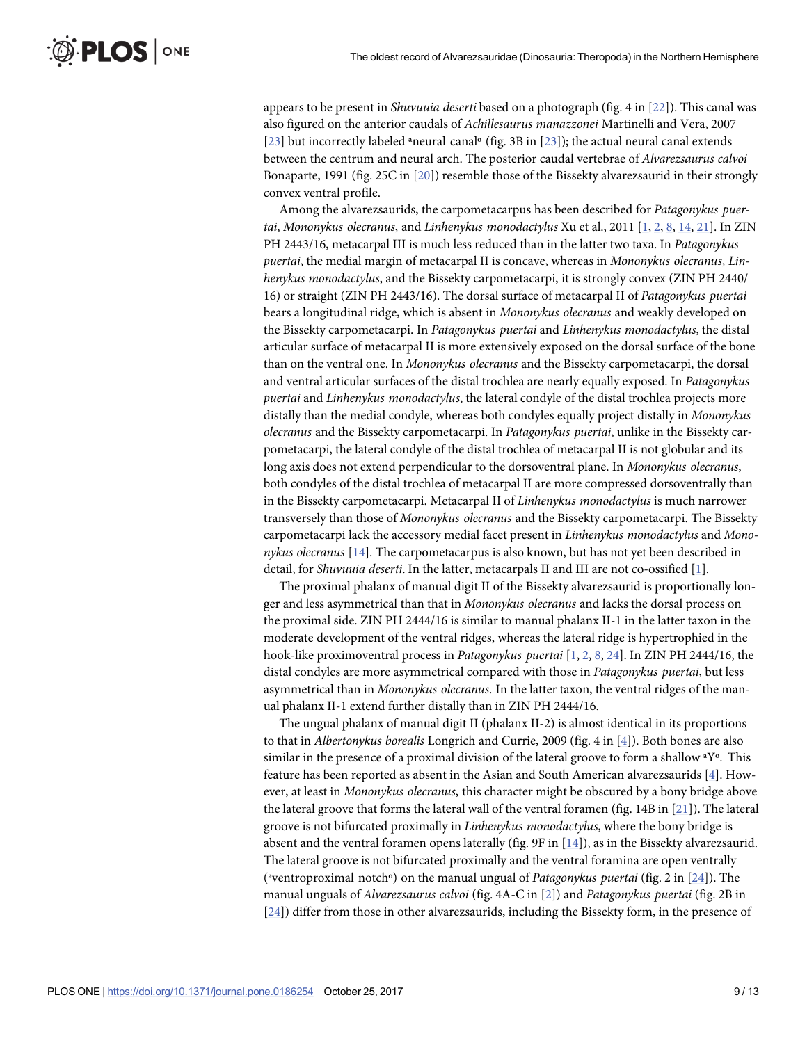appears to be present in *Shuvuuia deserti* based on a photograph (fig. 4 in [\[22\]](#page-12-0)). This canal was also figured on the anterior caudals of *Achillesaurus manazzonei* Martinelli and Vera, 2007 [\[23\]](#page-12-0) but incorrectly labeled <sup>a</sup>neural canal<sup>o</sup> (fig. 3B in [23]); the actual neural canal extends between the centrum and neural arch. The posterior caudal vertebrae of *Alvarezsaurus calvoi* Bonaparte, 1991 (fig. 25C in [\[20](#page-12-0)]) resemble those of the Bissekty alvarezsaurid in their strongly convex ventral profile.

Among the alvarezsaurids, the carpometacarpus has been described for *Patagonykus puertai*, *Mononykus olecranus*, and *Linhenykus monodactylus* Xu et al., 2011 [\[1,](#page-11-0) [2](#page-11-0), [8](#page-11-0), [14](#page-11-0), [21](#page-12-0)]. In ZIN PH 2443/16, metacarpal III is much less reduced than in the latter two taxa. In *Patagonykus puertai*, the medial margin of metacarpal II is concave, whereas in *Mononykus olecranus*, *Linhenykus monodactylus*, and the Bissekty carpometacarpi, it is strongly convex (ZIN PH 2440/ 16) or straight (ZIN PH 2443/16). The dorsal surface of metacarpal II of *Patagonykus puertai* bears a longitudinal ridge, which is absent in *Mononykus olecranus* and weakly developed on the Bissekty carpometacarpi. In *Patagonykus puertai* and *Linhenykus monodactylus*, the distal articular surface of metacarpal II is more extensively exposed on the dorsal surface of the bone than on the ventral one. In *Mononykus olecranus* and the Bissekty carpometacarpi, the dorsal and ventral articular surfaces of the distal trochlea are nearly equally exposed. In *Patagonykus puertai* and *Linhenykus monodactylus*, the lateral condyle of the distal trochlea projects more distally than the medial condyle, whereas both condyles equally project distally in *Mononykus olecranus* and the Bissekty carpometacarpi. In *Patagonykus puertai*, unlike in the Bissekty carpometacarpi, the lateral condyle of the distal trochlea of metacarpal II is not globular and its long axis does not extend perpendicular to the dorsoventral plane. In *Mononykus olecranus*, both condyles of the distal trochlea of metacarpal II are more compressed dorsoventrally than in the Bissekty carpometacarpi. Metacarpal II of *Linhenykus monodactylus* is much narrower transversely than those of *Mononykus olecranus* and the Bissekty carpometacarpi. The Bissekty carpometacarpi lack the accessory medial facet present in *Linhenykus monodactylus* and *Mononykus olecranus* [[14](#page-11-0)]. The carpometacarpus is also known, but has not yet been described in detail, for *Shuvuuia deserti*. In the latter, metacarpals II and III are not co-ossified [[1\]](#page-11-0).

The proximal phalanx of manual digit II of the Bissekty alvarezsaurid is proportionally longer and less asymmetrical than that in *Mononykus olecranus* and lacks the dorsal process on the proximal side. ZIN PH 2444/16 is similar to manual phalanx II-1 in the latter taxon in the moderate development of the ventral ridges, whereas the lateral ridge is hypertrophied in the hook-like proximoventral process in *Patagonykus puertai* [[1,](#page-11-0) [2,](#page-11-0) [8](#page-11-0), [24\]](#page-12-0). In ZIN PH 2444/16, the distal condyles are more asymmetrical compared with those in *Patagonykus puertai*, but less asymmetrical than in *Mononykus olecranus*. In the latter taxon, the ventral ridges of the manual phalanx II-1 extend further distally than in ZIN PH 2444/16.

The ungual phalanx of manual digit II (phalanx II-2) is almost identical in its proportions to that in *Albertonykus borealis* Longrich and Currie, 2009 (fig. 4 in [\[4\]](#page-11-0)). Both bones are also similar in the presence of a proximal division of the lateral groove to form a shallow ªYº. This feature has been reported as absent in the Asian and South American alvarezsaurids [\[4\]](#page-11-0). However, at least in *Mononykus olecranus*, this character might be obscured by a bony bridge above the lateral groove that forms the lateral wall of the ventral foramen (fig. 14B in [\[21\]](#page-12-0)). The lateral groove is not bifurcated proximally in *Linhenykus monodactylus*, where the bony bridge is absent and the ventral foramen opens laterally (fig. 9F in [[14](#page-11-0)]), as in the Bissekty alvarezsaurid. The lateral groove is not bifurcated proximally and the ventral foramina are open ventrally (ªventroproximal notchº) on the manual ungual of *Patagonykus puertai* (fig. 2 in [\[24\]](#page-12-0)). The manual unguals of *Alvarezsaurus calvoi* (fig. 4A-C in [[2\]](#page-11-0)) and *Patagonykus puertai* (fig. 2B in [\[24\]](#page-12-0)) differ from those in other alvarezsaurids, including the Bissekty form, in the presence of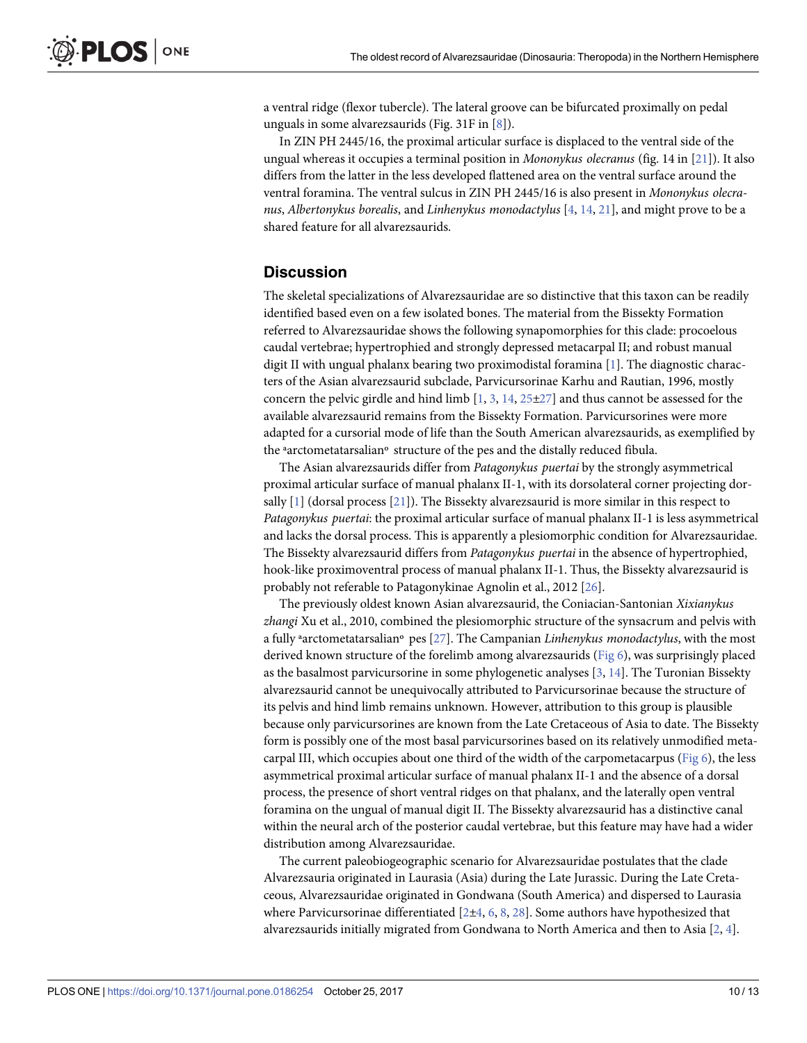<span id="page-9-0"></span>a ventral ridge (flexor tubercle). The lateral groove can be bifurcated proximally on pedal unguals in some alvarezsaurids (Fig. 31F in [[8](#page-11-0)]).

In ZIN PH 2445/16, the proximal articular surface is displaced to the ventral side of the ungual whereas it occupies a terminal position in *Mononykus olecranus* (fig. 14 in [[21](#page-12-0)]). It also differs from the latter in the less developed flattened area on the ventral surface around the ventral foramina. The ventral sulcus in ZIN PH 2445/16 is also present in *Mononykus olecranus*, *Albertonykus borealis*, and *Linhenykus monodactylus* [\[4,](#page-11-0) [14,](#page-11-0) [21\]](#page-12-0), and might prove to be a shared feature for all alvarezsaurids.

#### **Discussion**

The skeletal specializations of Alvarezsauridae are so distinctive that this taxon can be readily identified based even on a few isolated bones. The material from the Bissekty Formation referred to Alvarezsauridae shows the following synapomorphies for this clade: procoelous caudal vertebrae; hypertrophied and strongly depressed metacarpal II; and robust manual digit II with ungual phalanx bearing two proximodistal foramina [[1\]](#page-11-0). The diagnostic characters of the Asian alvarezsaurid subclade, Parvicursorinae Karhu and Rautian, 1996, mostly concern the pelvic girdle and hind limb  $[1, 3, 14, 25 \pm 27]$  $[1, 3, 14, 25 \pm 27]$  $[1, 3, 14, 25 \pm 27]$  $[1, 3, 14, 25 \pm 27]$  $[1, 3, 14, 25 \pm 27]$  $[1, 3, 14, 25 \pm 27]$  and thus cannot be assessed for the available alvarezsaurid remains from the Bissekty Formation. Parvicursorines were more adapted for a cursorial mode of life than the South American alvarezsaurids, as exemplified by the ªarctometatarsalianº structure of the pes and the distally reduced fibula.

The Asian alvarezsaurids differ from *Patagonykus puertai* by the strongly asymmetrical proximal articular surface of manual phalanx II-1, with its dorsolateral corner projecting dorsally [\[1\]](#page-11-0) (dorsal process [[21](#page-12-0)]). The Bissekty alvarezsaurid is more similar in this respect to *Patagonykus puertai*: the proximal articular surface of manual phalanx II-1 is less asymmetrical and lacks the dorsal process. This is apparently a plesiomorphic condition for Alvarezsauridae. The Bissekty alvarezsaurid differs from *Patagonykus puertai* in the absence of hypertrophied, hook-like proximoventral process of manual phalanx II-1. Thus, the Bissekty alvarezsaurid is probably not referable to Patagonykinae Agnolin et al., 2012 [\[26\]](#page-12-0).

The previously oldest known Asian alvarezsaurid, the Coniacian-Santonian *Xixianykus zhangi* Xu et al., 2010, combined the plesiomorphic structure of the synsacrum and pelvis with a fully ªarctometatarsalianº pes [\[27\]](#page-12-0). The Campanian *Linhenykus monodactylus*, with the most derived known structure of the forelimb among alvarezsaurids ([Fig 6](#page-10-0)), was surprisingly placed as the basalmost parvicursorine in some phylogenetic analyses [[3](#page-11-0), [14](#page-11-0)]. The Turonian Bissekty alvarezsaurid cannot be unequivocally attributed to Parvicursorinae because the structure of its pelvis and hind limb remains unknown. However, attribution to this group is plausible because only parvicursorines are known from the Late Cretaceous of Asia to date. The Bissekty form is possibly one of the most basal parvicursorines based on its relatively unmodified metacarpal III, which occupies about one third of the width of the carpometacarpus (Fig  $6$ ), the less asymmetrical proximal articular surface of manual phalanx II-1 and the absence of a dorsal process, the presence of short ventral ridges on that phalanx, and the laterally open ventral foramina on the ungual of manual digit II. The Bissekty alvarezsaurid has a distinctive canal within the neural arch of the posterior caudal vertebrae, but this feature may have had a wider distribution among Alvarezsauridae.

The current paleobiogeographic scenario for Alvarezsauridae postulates that the clade Alvarezsauria originated in Laurasia (Asia) during the Late Jurassic. During the Late Cretaceous, Alvarezsauridae originated in Gondwana (South America) and dispersed to Laurasia where Parvicursorinae differentiated  $[2\pm 4, 6, 8, 28]$  $[2\pm 4, 6, 8, 28]$  $[2\pm 4, 6, 8, 28]$  $[2\pm 4, 6, 8, 28]$  $[2\pm 4, 6, 8, 28]$  $[2\pm 4, 6, 8, 28]$  $[2\pm 4, 6, 8, 28]$ . Some authors have hypothesized that alvarezsaurids initially migrated from Gondwana to North America and then to Asia [[2](#page-11-0), [4\]](#page-11-0).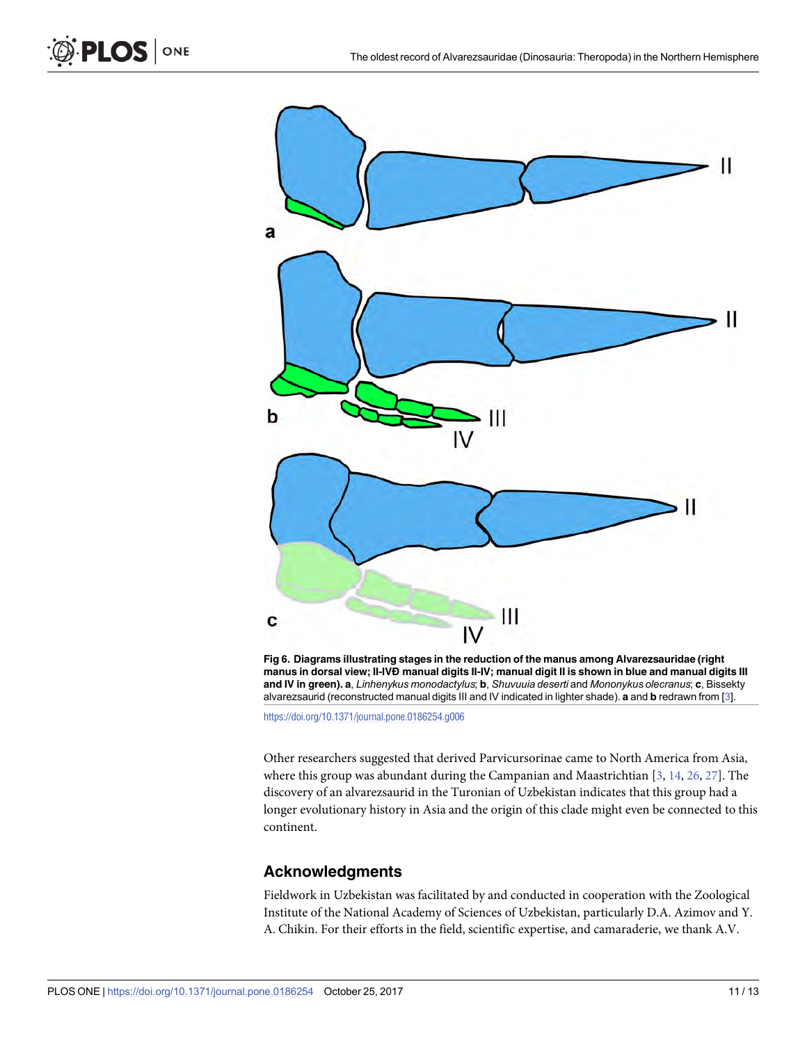<span id="page-10-0"></span> $\mathsf{PLOS}\!\mid\! \mathsf{ONE}$ 

![](_page_10_Figure_2.jpeg)

**[Fig 6. D](#page-9-0)iagrams illustrating stages in the reduction of the manus among Alvarezsauridae (right manus in dorsal view; II-IVÐ manual digits II-IV; manual digit II is shown in blue and manual digits III and IV in green). a**, *Linhenykus monodactylus*; **b**, *Shuvuuia deserti* and *Mononykus olecranus*; **c**, Bissekty alvarezsaurid (reconstructed manual digits III and IV indicated in lighter shade). **a** and **b** redrawn from [\[3](#page-11-0)].

<https://doi.org/10.1371/journal.pone.0186254.g006>

Other researchers suggested that derived Parvicursorinae came to North America from Asia, where this group was abundant during the Campanian and Maastrichtian [\[3,](#page-11-0) [14,](#page-11-0) [26,](#page-12-0) [27\]](#page-12-0). The discovery of an alvarezsaurid in the Turonian of Uzbekistan indicates that this group had a longer evolutionary history in Asia and the origin of this clade might even be connected to this continent.

#### **Acknowledgments**

Fieldwork in Uzbekistan was facilitated by and conducted in cooperation with the Zoological Institute of the National Academy of Sciences of Uzbekistan, particularly D.A. Azimov and Y. A. Chikin. For their efforts in the field, scientific expertise, and camaraderie, we thank A.V.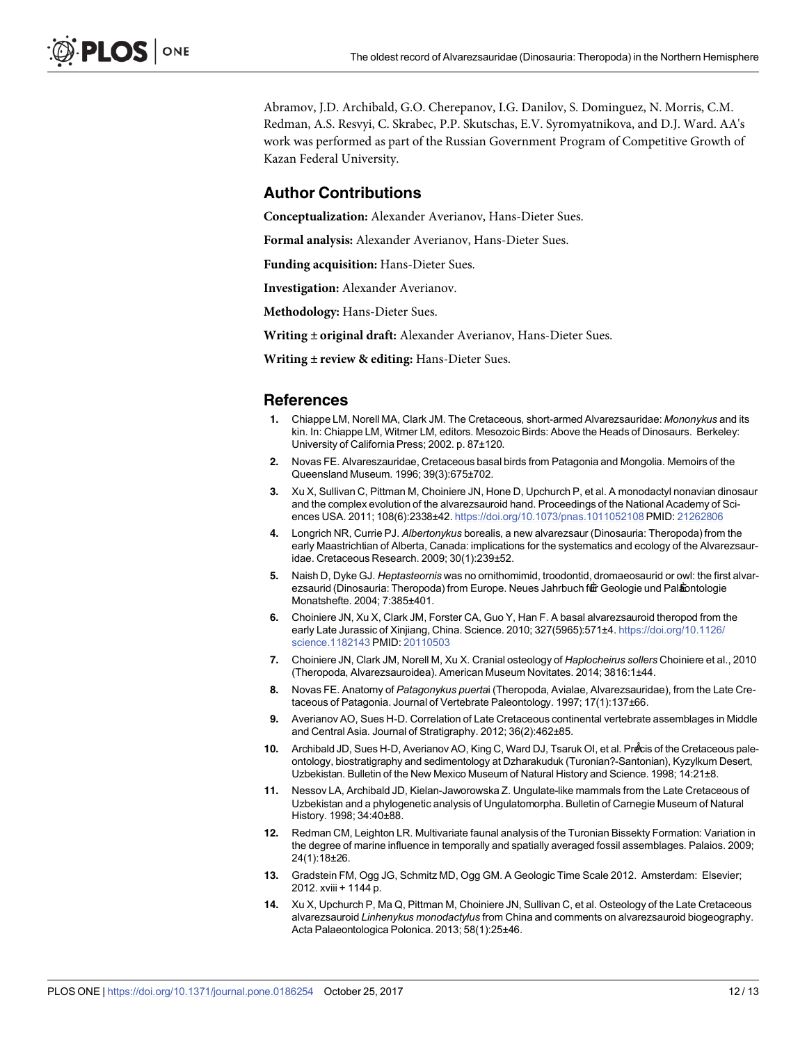<span id="page-11-0"></span>Abramov, J.D. Archibald, G.O. Cherepanov, I.G. Danilov, S. Dominguez, N. Morris, C.M. Redman, A.S. Resvyi, C. Skrabec, P.P. Skutschas, E.V. Syromyatnikova, and D.J. Ward. AA's work was performed as part of the Russian Government Program of Competitive Growth of Kazan Federal University.

#### **Author Contributions**

**Conceptualization:** Alexander Averianov, Hans-Dieter Sues.

**Formal analysis:** Alexander Averianov, Hans-Dieter Sues.

**Funding acquisition:** Hans-Dieter Sues.

**Investigation:** Alexander Averianov.

**Methodology:** Hans-Dieter Sues.

**Writing ± original draft:** Alexander Averianov, Hans-Dieter Sues.

**Writing ± review & editing:** Hans-Dieter Sues.

#### **References**

- **[1](#page-0-0).** Chiappe LM, Norell MA, Clark JM. The Cretaceous, short-armed Alvarezsauridae: *Mononykus* and its kin. In: Chiappe LM, Witmer LM, editors. Mesozoic Birds: Above the Heads of Dinosaurs. Berkeley: University of California Press; 2002. p. 87±120.
- **[2](#page-0-0).** Novas FE. Alvareszauridae, Cretaceous basal birds from Patagonia and Mongolia. Memoirs of the Queensland Museum. 1996; 39(3):675±702.
- **[3](#page-0-0).** Xu X, Sullivan C, Pittman M, Choiniere JN, Hone D, Upchurch P, et al. A monodactyl nonavian dinosaur and the complex evolution of the alvarezsauroid hand. Proceedings of the National Academy of Sciences USA. 2011; 108(6):2338±42. <https://doi.org/10.1073/pnas.1011052108> PMID: [21262806](http://www.ncbi.nlm.nih.gov/pubmed/21262806)
- **[4](#page-0-0).** Longrich NR, Currie PJ. *Albertonykus* borealis, a new alvarezsaur (Dinosauria: Theropoda) from the early Maastrichtian of Alberta, Canada: implications for the systematics and ecology of the Alvarezsauridae. Cretaceous Research. 2009; 30(1):239±52.
- **[5](#page-0-0).** Naish D, Dyke GJ. *Heptasteornis* was no ornithomimid, troodontid, dromaeosaurid or owl: the first alvarezsaurid (Dinosauria: Theropoda) from Europe. Neues Jahrbuch f衄 Geologie und Palpontologie Monatshefte. 2004; 7:385±401.
- **[6](#page-0-0).** Choiniere JN, Xu X, Clark JM, Forster CA, Guo Y, Han F. A basal alvarezsauroid theropod from the early Late Jurassic of Xinjiang, China. Science. 2010; 327(5965):571±4. [https://doi.org/10.1126/](https://doi.org/10.1126/science.1182143) [science.1182143](https://doi.org/10.1126/science.1182143) PMID: [20110503](http://www.ncbi.nlm.nih.gov/pubmed/20110503)
- **[7](#page-0-0).** Choiniere JN, Clark JM, Norell M, Xu X. Cranial osteology of *Haplocheirus sollers* Choiniere et al., 2010 (Theropoda, Alvarezsauroidea). American Museum Novitates. 2014; 3816:1±44.
- **[8](#page-1-0).** Novas FE. Anatomy of *Patagonykus puerta*i (Theropoda, Avialae, Alvarezsauridae), from the Late Cretaceous of Patagonia. Journal of Vertebrate Paleontology. 1997; 17(1):137±66.
- **[9](#page-1-0).** Averianov AO, Sues H-D. Correlation of Late Cretaceous continental vertebrate assemblages in Middle and Central Asia. Journal of Stratigraphy. 2012; 36(2):462±85.
- **[10](#page-2-0).** Archibald JD, Sues H-D, Averianov AO, King C, Ward DJ, Tsaruk OI, et al. PreÂcis of the Cretaceous paleontology, biostratigraphy and sedimentology at Dzharakuduk (Turonian?-Santonian), Kyzylkum Desert, Uzbekistan. Bulletin of the New Mexico Museum of Natural History and Science. 1998; 14:21±8.
- **[11](#page-2-0).** Nessov LA, Archibald JD, Kielan-Jaworowska Z. Ungulate-like mammals from the Late Cretaceous of Uzbekistan and a phylogenetic analysis of Ungulatomorpha. Bulletin of Carnegie Museum of Natural History. 1998; 34:40±88.
- **[12](#page-2-0).** Redman CM, Leighton LR. Multivariate faunal analysis of the Turonian Bissekty Formation: Variation in the degree of marine influence in temporally and spatially averaged fossil assemblages. Palaios. 2009; 24(1):18±26.
- **[13](#page-2-0).** Gradstein FM, Ogg JG, Schmitz MD, Ogg GM. A Geologic Time Scale 2012. Amsterdam: Elsevier; 2012. xviii + 1144 p.
- **[14](#page-1-0).** Xu X, Upchurch P, Ma Q, Pittman M, Choiniere JN, Sullivan C, et al. Osteology of the Late Cretaceous alvarezsauroid *Linhenykus monodactylus* from China and comments on alvarezsauroid biogeography. Acta Palaeontologica Polonica. 2013; 58(1):25±46.